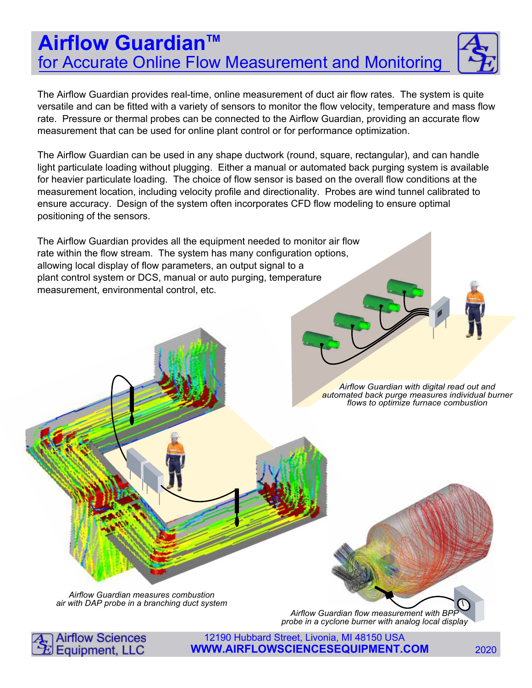# **Airflow Guardian™** for Accurate Online Flow Measurement and Monitoring



The Airflow Guardian provides real-time, online measurement of duct air flow rates. The system is quite versatile and can be fitted with a variety of sensors to monitor the flow velocity, temperature and mass flow rate. Pressure or thermal probes can be connected to the Airflow Guardian, providing an accurate flow measurement that can be used for online plant control or for performance optimization.

The Airflow Guardian can be used in any shape ductwork (round, square, rectangular), and can handle light particulate loading without plugging. Either a manual or automated back purging system is available for heavier particulate loading. The choice of flow sensor is based on the overall flow conditions at the measurement location, including velocity profile and directionality. Probes are wind tunnel calibrated to ensure accuracy. Design of the system often incorporates CFD flow modeling to ensure optimal positioning of the sensors.

The Airflow Guardian provides all the equipment needed to monitor air flow rate within the flow stream. The system has many configuration options, allowing local display of flow parameters, an output signal to a plant control system or DCS, manual or auto purging, temperature measurement, environmental control, etc.

> Airflow Guardian with digital read out and automated back purge measures individual burner flows to optimize furnace combustion

Airflow Guardian measures combustion air with DAP probe in a branching duct system

Airflow Guardian flow measurement with BPI probe in a cyclone burner with analog local display



12190 Hubbard Street, Livonia, MI 48150 USA **WWW.AIRFLOWSCIENCESEQUIPMENT.COM** 2020